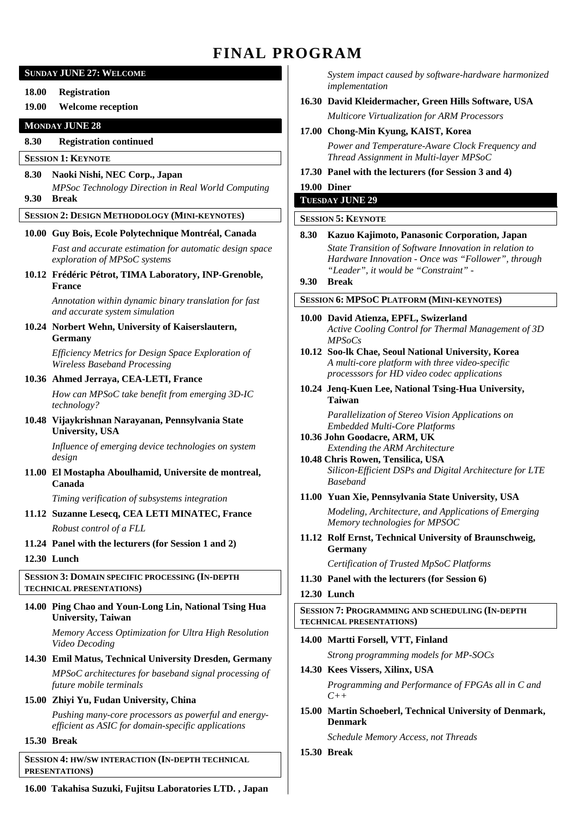# **FINAL PROGRAM**

### **SUNDAY JUNE 27: WELCOME**

#### **18.00 Registration**

## **19.00 Welcome reception**

#### **MONDAY JUNE 28**

## **8.30 Registration continued**

## **SESSION 1: KEYNOTE**

## **8.30 Naoki Nishi, NEC Corp., Japan**

*MPSoc Technology Direction in Real World Computing*  **9.30 Break** 

## **SESSION 2: DESIGN METHODOLOGY (MINI-KEYNOTES)**

#### **10.00 Guy Bois, Ecole Polytechnique Montréal, Canada**

*Fast and accurate estimation for automatic design space exploration of MPSoC systems* 

**10.12 Frédéric Pétrot, TIMA Laboratory, INP-Grenoble, France** 

> *Annotation within dynamic binary translation for fast and accurate system simulation*

#### **10.24 Norbert Wehn, University of Kaiserslautern, Germany**

*Efficiency Metrics for Design Space Exploration of Wireless Baseband Processing* 

#### **10.36 Ahmed Jerraya, CEA-LETI, France**

*How can MPSoC take benefit from emerging 3D-IC technology?* 

**10.48 Vijaykrishnan Narayanan, Pennsylvania State University, USA** 

> *Influence of emerging device technologies on system design*

**11.00 El Mostapha Aboulhamid, Universite de montreal, Canada** 

*Timing verification of subsystems integration* 

## **11.12 Suzanne Lesecq, CEA LETI MINATEC, France**  *Robust control of a FLL*

#### **11.24 Panel with the lecturers (for Session 1 and 2)**

**12.30 Lunch** 

#### **SESSION 3: DOMAIN SPECIFIC PROCESSING (IN-DEPTH TECHNICAL PRESENTATIONS)**

#### **14.00 Ping Chao and Youn-Long Lin, National Tsing Hua University, Taiwan**

*Memory Access Optimization for Ultra High Resolution Video Decoding* 

## **14.30 Emil Matus, Technical University Dresden, Germany**

*MPSoC architectures for baseband signal processing of future mobile terminals* 

#### **15.00 Zhiyi Yu, Fudan University, China**

*Pushing many-core processors as powerful and energyefficient as ASIC for domain-specific applications* 

#### **15.30 Break**

**SESSION 4: HW/SW INTERACTION (IN-DEPTH TECHNICAL PRESENTATIONS)** 

**16.00 Takahisa Suzuki, Fujitsu Laboratories LTD. , Japan** 

*System impact caused by software-hardware harmonized implementation* 

- **16.30 David Kleidermacher, Green Hills Software, USA**  *Multicore Virtualization for ARM Processors*
- **17.00 Chong-Min Kyung, KAIST, Korea**

*Power and Temperature-Aware Clock Frequency and Thread Assignment in Multi-layer MPSoC* 

#### **17.30 Panel with the lecturers (for Session 3 and 4)**

**19.00 Diner** 

# **TUESDAY JUNE 29**

# **SESSION 5: KEYNOTE**

#### **8.30 Kazuo Kajimoto, Panasonic Corporation, Japan**

*State Transition of Software Innovation in relation to Hardware Innovation - Once was "Follower", through "Leader", it would be "Constraint" -* 

### **9.30 Break**

#### **SESSION 6: MPSOC PLATFORM (MINI-KEYNOTES)**

**10.00 David Atienza, EPFL, Swizerland**  *Active Cooling Control for Thermal Management of 3D MPSoCs* 

#### **10.12 Soo-lk Chae, Seoul National University, Korea**  *A multi-core platform with three video-specific processsors for HD video codec applications*

**10.24 Jenq-Kuen Lee, National Tsing-Hua University, Taiwan** 

> *Parallelization of Stereo Vision Applications on Embedded Multi-Core Platforms*

- **10.36 John Goodacre, ARM, UK**  *Extending the ARM Architecture*
- **10.48 Chris Rowen, Tensilica, USA**  *Silicon-Efficient DSPs and Digital Architecture for LTE Baseband*

#### **11.00 Yuan Xie, Pennsylvania State University, USA**

*Modeling, Architecture, and Applications of Emerging Memory technologies for MPSOC* 

**11.12 Rolf Ernst, Technical University of Braunschweig, Germany** 

*Certification of Trusted MpSoC Platforms* 

**11.30 Panel with the lecturers (for Session 6)** 

#### **12.30 Lunch**

**SESSION 7: PROGRAMMING AND SCHEDULING (IN-DEPTH TECHNICAL PRESENTATIONS)** 

#### **14.00 Martti Forsell, VTT, Finland**

*Strong programming models for MP-SOCs* 

## **14.30 Kees Vissers, Xilinx, USA**  *Programming and Performance of FPGAs all in C and*

*C++* 

**15.00 Martin Schoeberl, Technical University of Denmark, Denmark** 

*Schedule Memory Access, not Threads* 

**15.30 Break**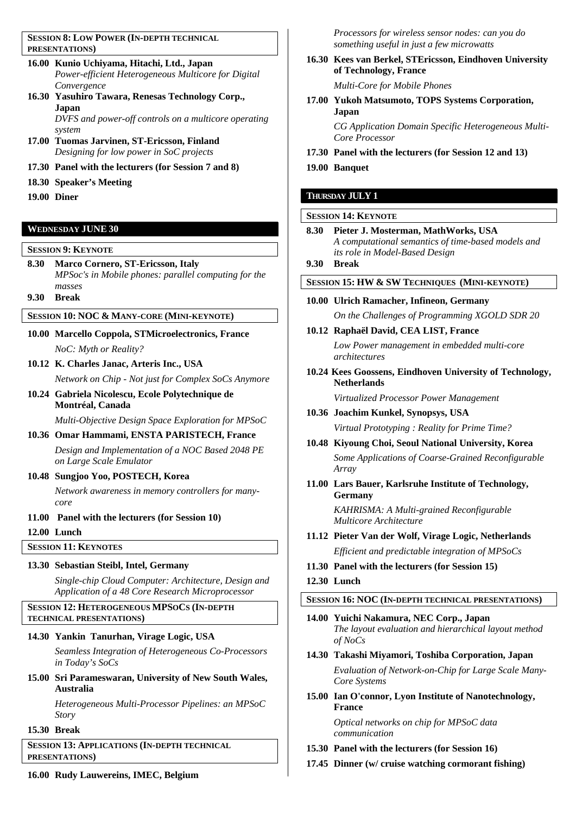**SESSION 8: LOW POWER (IN-DEPTH TECHNICAL PRESENTATIONS)** 

- **16.00 Kunio Uchiyama, Hitachi, Ltd., Japan**  *Power-efficient Heterogeneous Multicore for Digital Convergence*
- **16.30 Yasuhiro Tawara, Renesas Technology Corp., Japan**  *DVFS and power-off controls on a multicore operating*
- *system*  **17.00 Tuomas Jarvinen, ST-Ericsson, Finland**
- *Designing for low power in SoC projects*  **17.30 Panel with the lecturers (for Session 7 and 8)**
- **18.30 Speaker's Meeting**
- **19.00 Diner**

## **WEDNESDAY JUNE 30**

### **SESSION 9: KEYNOTE**

**8.30 Marco Cornero, ST-Ericsson, Italy**  *MPSoc's in Mobile phones: parallel computing for the masses* 

**9.30 Break** 

## **SESSION 10: NOC & MANY-CORE (MINI-KEYNOTE)**

- **10.00 Marcello Coppola, STMicroelectronics, France**  *NoC: Myth or Reality?*
- **10.12 K. Charles Janac, Arteris Inc., USA**

*Network on Chip - Not just for Complex SoCs Anymore* 

**10.24 Gabriela Nicolescu, Ecole Polytechnique de Montréal, Canada** 

*Multi-Objective Design Space Exploration for MPSoC* 

**10.36 Omar Hammami, ENSTA PARISTECH, France** 

*Design and Implementation of a NOC Based 2048 PE on Large Scale Emulator* 

## **10.48 Sungjoo Yoo, POSTECH, Korea**

*Network awareness in memory controllers for manycore* 

**11.00 Panel with the lecturers (for Session 10)**

**12.00 Lunch** 

**SESSION 11: KEYNOTES**

# **13.30 Sebastian Steibl, Intel, Germany**

*Single-chip Cloud Computer: Architecture, Design and Application of a 48 Core Research Microprocessor* 

## **SESSION 12: HETEROGENEOUS MPSOCS (IN-DEPTH TECHNICAL PRESENTATIONS)**

## **14.30 Yankin Tanurhan, Virage Logic, USA**

*Seamless Integration of Heterogeneous Co-Processors in Today's SoCs* 

**15.00 Sri Parameswaran, University of New South Wales, Australia** 

*Heterogeneous Multi-Processor Pipelines: an MPSoC Story* 

## **15.30 Break**

**SESSION 13: APPLICATIONS (IN-DEPTH TECHNICAL PRESENTATIONS)** 

*Processors for wireless sensor nodes: can you do something useful in just a few microwatts* 

- **16.30 Kees van Berkel, STEricsson, Eindhoven University of Technology, France**  *Multi-Core for Mobile Phones*
- **17.00 Yukoh Matsumoto, TOPS Systems Corporation, Japan**

*CG Application Domain Specific Heterogeneous Multi-Core Processor* 

- **17.30 Panel with the lecturers (for Session 12 and 13)**
- **19.00 Banquet**

## **THURSDAY JULY 1**

## **SESSION 14: KEYNOTE**

- **8.30 Pieter J. Mosterman, MathWorks, USA**  *A computational semantics of time-based models and its role in Model-Based Design*
- **9.30 Break**

## **SESSION 15: HW & SW TECHNIQUES (MINI-KEYNOTE)**

- **10.00 Ulrich Ramacher, Infineon, Germany**  *On the Challenges of Programming XGOLD SDR 20*
- **10.12 Raphaël David, CEA LIST, France**  *Low Power management in embedded multi-core*

*architectures* 

**10.24 Kees Goossens, Eindhoven University of Technology, Netherlands** 

*Virtualized Processor Power Management* 

- **10.36 Joachim Kunkel, Synopsys, USA**  *Virtual Prototyping : Reality for Prime Time?*
- **10.48 Kiyoung Choi, Seoul National University, Korea**  *Some Applications of Coarse-Grained Reconfigurable Array*
- **11.00 Lars Bauer, Karlsruhe Institute of Technology, Germany**

*KAHRISMA: A Multi-grained Reconfigurable Multicore Architecture* 

- **11.12 Pieter Van der Wolf, Virage Logic, Netherlands**  *Efficient and predictable integration of MPSoCs*
- **11.30 Panel with the lecturers (for Session 15)**

## **12.30 Lunch**

# **SESSION 16: NOC (IN-DEPTH TECHNICAL PRESENTATIONS)**

- **14.00 Yuichi Nakamura, NEC Corp., Japan**  *The layout evaluation and hierarchical layout method of NoCs*
- **14.30 Takashi Miyamori, Toshiba Corporation, Japan**  *Evaluation of Network-on-Chip for Large Scale Many-Core Systems*
- **15.00 Ian O'connor, Lyon Institute of Nanotechnology, France**

*Optical networks on chip for MPSoC data communication* 

- **15.30 Panel with the lecturers (for Session 16)**
- **17.45 Dinner (w/ cruise watching cormorant fishing)**